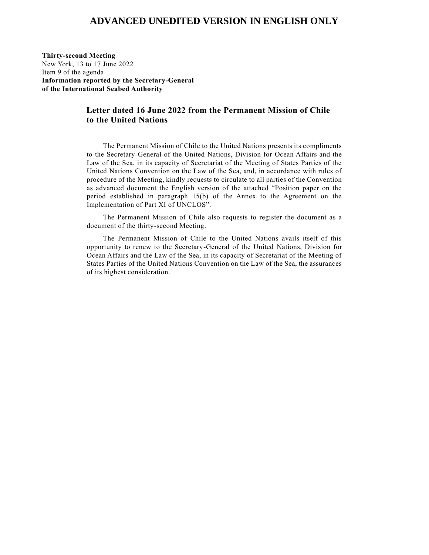## **ADVANCED UNEDITED VERSION IN ENGLISH ONLY**

**Thirty-second Meeting** New York, 13 to 17 June 2022 Item 9 of the agenda **Information reported by the Secretary-General of the International Seabed Authority**

## **Letter dated 16 June 2022 from the Permanent Mission of Chile to the United Nations**

The Permanent Mission of Chile to the United Nations presents its compliments to the Secretary-General of the United Nations, Division for Ocean Affairs and the Law of the Sea, in its capacity of Secretariat of the Meeting of States Parties of the United Nations Convention on the Law of the Sea, and, in accordance with rules of procedure of the Meeting, kindly requests to circulate to all parties of the Convention as advanced document the English version of the attached "Position paper on the period established in paragraph 15(b) of the Annex to the Agreement on the Implementation of Part XI of UNCLOS".

The Permanent Mission of Chile also requests to register the document as a document of the thirty-second Meeting.

The Permanent Mission of Chile to the United Nations avails itself of this opportunity to renew to the Secretary-General of the United Nations, Division for Ocean Affairs and the Law of the Sea, in its capacity of Secretariat of the Meeting of States Parties of the United Nations Convention on the Law of the Sea, the assurances of its highest consideration.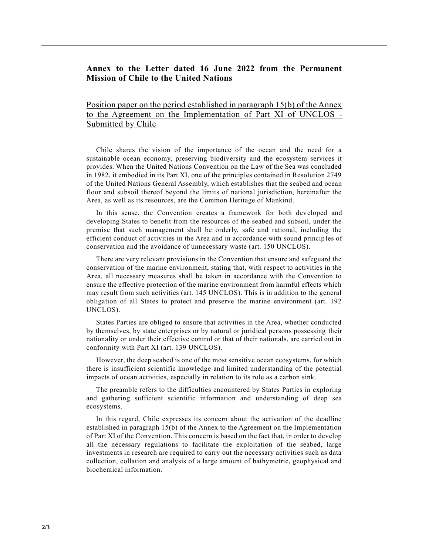## **Annex to the Letter dated 16 June 2022 from the Permanent Mission of Chile to the United Nations**

Position paper on the period established in paragraph 15(b) of the Annex to the Agreement on the Implementation of Part XI of UNCLOS - Submitted by Chile

 Chile shares the vision of the importance of the ocean and the need for a sustainable ocean economy, preserving biodiversity and the ecosystem services it provides. When the United Nations Convention on the Law of the Sea was concluded in 1982, it embodied in its Part XI, one of the principles contained in Resolution 2749 of the United Nations General Assembly, which establishes that the seabed and ocean floor and subsoil thereof beyond the limits of national jurisdiction, hereinafter the Area, as well as its resources, are the Common Heritage of Mankind.

 In this sense, the Convention creates a framework for both developed and developing States to benefit from the resources of the seabed and subsoil, under the premise that such management shall be orderly, safe and rational, including the efficient conduct of activities in the Area and in accordance with sound princip les of conservation and the avoidance of unnecessary waste (art. 150 UNCLOS).

 There are very relevant provisions in the Convention that ensure and safeguard the conservation of the marine environment, stating that, with respect to activities in the Area, all necessary measures shall be taken in accordance with the Convention to ensure the effective protection of the marine environment from harmful effects which may result from such activities (art. 145 UNCLOS). This is in addition to the general obligation of all States to protect and preserve the marine environment (art. 192 UNCLOS).

 States Parties are obliged to ensure that activities in the Area, whether conducted by themselves, by state enterprises or by natural or juridical persons possessing their nationality or under their effective control or that of their nationals, are carried out in conformity with Part XI (art. 139 UNCLOS).

 However, the deep seabed is one of the most sensitive ocean ecosystems, for which there is insufficient scientific knowledge and limited understanding of the potential impacts of ocean activities, especially in relation to its role as a carbon sink.

 The preamble refers to the difficulties encountered by States Parties in exploring and gathering sufficient scientific information and understanding of deep sea ecosystems.

 In this regard, Chile expresses its concern about the activation of the deadline established in paragraph 15(b) of the Annex to the Agreement on the Implementation of Part XI of the Convention. This concern is based on the fact that, in order to develop all the necessary regulations to facilitate the exploitation of the seabed, large investments in research are required to carry out the necessary activities such as data collection, collation and analysis of a large amount of bathymetric, geophysical and biochemical information.